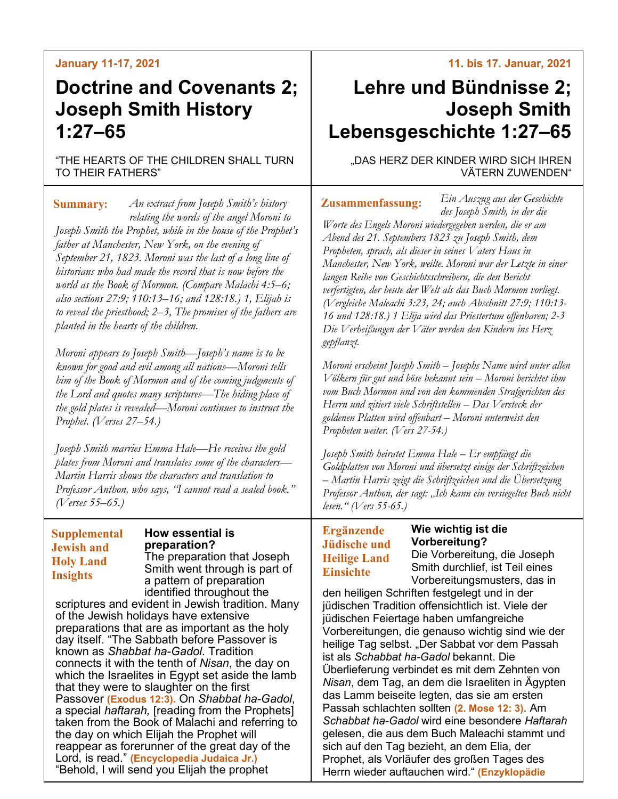# **January 11-17, 2021**

# **Doctrine and Covenants 2; Joseph Smith History 1:27–65**

"THE HEARTS OF THE CHILDREN SHALL TURN TO THEIR FATHERS"

*An extract from Joseph Smith's history*  **Summary: Zusammenfassung:** *relating the words of the angel Moroni to Joseph Smith the Prophet, while in the house of the Prophet's father at Manchester, New York, on the evening of September 21, 1823. Moroni was the last of a long line of historians who had made the record that is now before the world as the Book of Mormon. (Compare Malachi 4:5–6; also sections 27:9; 110:13–16; and 128:18.) 1, Elijah is to reveal the priesthood; 2–3, The promises of the fathers are planted in the hearts of the children.*

*Moroni appears to Joseph Smith—Joseph's name is to be known for good and evil among all nations—Moroni tells him of the Book of Mormon and of the coming judgments of the Lord and quotes many scriptures—The hiding place of the gold plates is revealed—Moroni continues to instruct the Prophet. (Verses 27–54.)*

*Joseph Smith marries Emma Hale—He receives the gold plates from Moroni and translates some of the characters— Martin Harris shows the characters and translation to Professor Anthon, who says, "I cannot read a sealed book." (Verses 55–65.)*

# **Supplemental Jewish and Holy Land Insights**

#### **How essential is preparation?** The preparation that Joseph

Smith went through is part of a pattern of preparation identified throughout the

scriptures and evident in Jewish tradition. Many of the Jewish holidays have extensive preparations that are as important as the holy day itself. "The Sabbath before Passover is known as *Shabbat ha-Gadol*. Tradition connects it with the tenth of *Nisan*, the day on which the Israelites in Egypt set aside the lamb that they were to slaughter on the first Passover **(Exodus 12:3).** On *Shabbat ha-Gadol*, a special *haftarah,* [reading from the Prophets] taken from the Book of Malachi and referring to the day on which Elijah the Prophet will reappear as forerunner of the great day of the Lord, is read." **(Encyclopedia Judaica Jr.)** "Behold, I will send you Elijah the prophet

### **11. bis 17. Januar, 2021**

# **Lehre und Bündnisse 2; Joseph Smith Lebensgeschichte 1:27–65**

"DAS HERZ DER KINDER WIRD SICH IHREN VÄTERN ZUWENDEN"

*Ein Auszug aus der Geschichte des Joseph Smith, in der die* 

*Worte des Engels Moroni wiedergegeben werden, die er am Abend des 21. Septembers 1823 zu Joseph Smith, dem Propheten, sprach, als dieser in seines Vaters Haus in Manchester, New York, weilte. Moroni war der Letzte in einer langen Reihe von Geschichtsschreibern, die den Bericht verfertigten, der heute der Welt als das Buch Mormon vorliegt. (Vergleiche Maleachi 3:23, 24; auch Abschnitt 27:9; 110:13- 16 und 128:18.) 1 Elija wird das Priestertum offenbaren; 2-3 Die Verheißungen der Väter werden den Kindern ins Herz gepflanzt.*

*Moroni erscheint Joseph Smith – Josephs Name wird unter allen Völkern für gut und böse bekannt sein – Moroni berichtet ihm vom Buch Mormon und von den kommenden Strafgerichten des Herrn und zitiert viele Schriftstellen – Das Versteck der goldenen Platten wird offenbart – Moroni unterweist den Propheten weiter. (Vers 27-54.)*

*Joseph Smith heiratet Emma Hale – Er empfängt die Goldplatten von Moroni und übersetzt einige der Schriftzeichen – Martin Harris zeigt die Schriftzeichen und die Übersetzung Professor Anthon, der sagt: "Ich kann ein versiegeltes Buch nicht lesen." (Vers 55-65.)*

**Wie wichtig ist die** 

# **Ergänzende Jüdische und Heilige Land Einsichte**

**Vorbereitung?** Die Vorbereitung, die Joseph Smith durchlief, ist Teil eines Vorbereitungsmusters, das in

den heiligen Schriften festgelegt und in der jüdischen Tradition offensichtlich ist. Viele der jüdischen Feiertage haben umfangreiche Vorbereitungen, die genauso wichtig sind wie der heilige Tag selbst. "Der Sabbat vor dem Passah ist als *Schabbat ha-Gadol* bekannt. Die Überlieferung verbindet es mit dem Zehnten von *Nisan*, dem Tag, an dem die Israeliten in Ägypten das Lamm beiseite legten, das sie am ersten Passah schlachten sollten **(2. Mose 12: 3)**. Am *Schabbat ha-Gadol* wird eine besondere *Haftarah* gelesen, die aus dem Buch Maleachi stammt und sich auf den Tag bezieht, an dem Elia, der Prophet, als Vorläufer des großen Tages des Herrn wieder auftauchen wird." **(Enzyklopädie**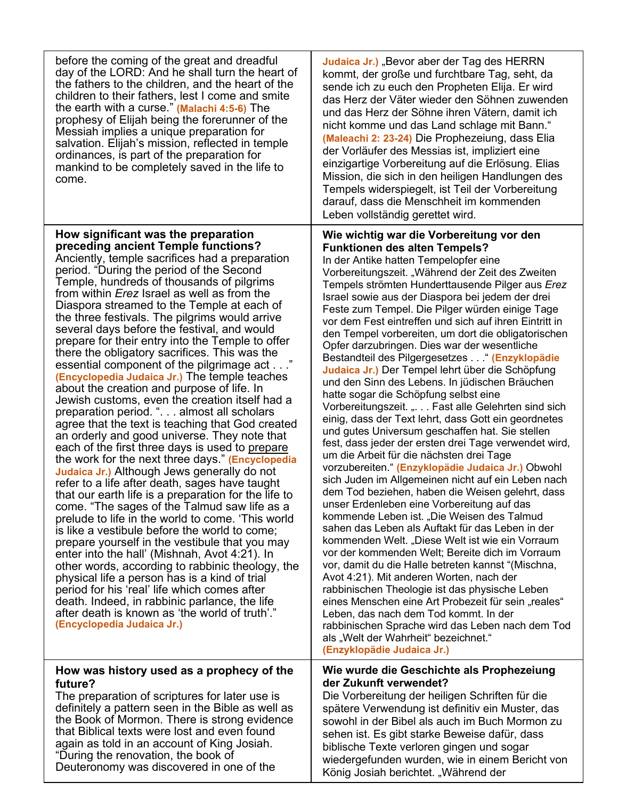| before the coming of the great and dreadful<br>day of the LORD: And he shall turn the heart of<br>the fathers to the children, and the heart of the<br>children to their fathers, lest I come and smite<br>the earth with a curse." (Malachi 4:5-6) The<br>prophesy of Elijah being the forerunner of the<br>Messiah implies a unique preparation for<br>salvation. Elijah's mission, reflected in temple<br>ordinances, is part of the preparation for<br>mankind to be completely saved in the life to<br>come.                                                                                                                                                                                                                                                                                                                                                                                                                                                                                                                                                                                                                                                                                                                                                                                                                                                                                                                                                                                                                                                                                                                                                                               | Judaica Jr.) "Bevor aber der Tag des HERRN<br>kommt, der große und furchtbare Tag, seht, da<br>sende ich zu euch den Propheten Elija. Er wird<br>das Herz der Väter wieder den Söhnen zuwenden<br>und das Herz der Söhne ihren Vätern, damit ich<br>nicht komme und das Land schlage mit Bann."<br>(Maleachi 2: 23-24) Die Prophezeiung, dass Elia<br>der Vorläufer des Messias ist, impliziert eine<br>einzigartige Vorbereitung auf die Erlösung. Elias<br>Mission, die sich in den heiligen Handlungen des<br>Tempels widerspiegelt, ist Teil der Vorbereitung<br>darauf, dass die Menschheit im kommenden<br>Leben vollständig gerettet wird.                                                                                                                                                                                                                                                                                                                                                                                                                                                                                                                                                                                                                                                                                                                                                                                                                                                                                                                                                                                                                                                                                                                                    |
|-------------------------------------------------------------------------------------------------------------------------------------------------------------------------------------------------------------------------------------------------------------------------------------------------------------------------------------------------------------------------------------------------------------------------------------------------------------------------------------------------------------------------------------------------------------------------------------------------------------------------------------------------------------------------------------------------------------------------------------------------------------------------------------------------------------------------------------------------------------------------------------------------------------------------------------------------------------------------------------------------------------------------------------------------------------------------------------------------------------------------------------------------------------------------------------------------------------------------------------------------------------------------------------------------------------------------------------------------------------------------------------------------------------------------------------------------------------------------------------------------------------------------------------------------------------------------------------------------------------------------------------------------------------------------------------------------|--------------------------------------------------------------------------------------------------------------------------------------------------------------------------------------------------------------------------------------------------------------------------------------------------------------------------------------------------------------------------------------------------------------------------------------------------------------------------------------------------------------------------------------------------------------------------------------------------------------------------------------------------------------------------------------------------------------------------------------------------------------------------------------------------------------------------------------------------------------------------------------------------------------------------------------------------------------------------------------------------------------------------------------------------------------------------------------------------------------------------------------------------------------------------------------------------------------------------------------------------------------------------------------------------------------------------------------------------------------------------------------------------------------------------------------------------------------------------------------------------------------------------------------------------------------------------------------------------------------------------------------------------------------------------------------------------------------------------------------------------------------------------------------|
| How significant was the preparation<br>preceding ancient Temple functions?<br>Anciently, temple sacrifices had a preparation<br>period. "During the period of the Second<br>Temple, hundreds of thousands of pilgrims<br>from within Erez Israel as well as from the<br>Diaspora streamed to the Temple at each of<br>the three festivals. The pilgrims would arrive<br>several days before the festival, and would<br>prepare for their entry into the Temple to offer<br>there the obligatory sacrifices. This was the<br>essential component of the pilgrimage act"<br>(Encyclopedia Judaica Jr.) The temple teaches<br>about the creation and purpose of life. In<br>Jewish customs, even the creation itself had a<br>preparation period. ". almost all scholars<br>agree that the text is teaching that God created<br>an orderly and good universe. They note that<br>each of the first three days is used to prepare<br>the work for the next three days." (Encyclopedia<br><b>Judaica Jr.)</b> Although Jews generally do not<br>refer to a life after death, sages have taught<br>that our earth life is a preparation for the life to<br>come. "The sages of the Talmud saw life as a<br>prelude to life in the world to come. 'This world<br>is like a vestibule before the world to come;<br>prepare yourself in the vestibule that you may<br>enter into the hall' (Mishnah, Avot 4:21). In<br>other words, according to rabbinic theology, the<br>physical life a person has is a kind of trial<br>period for his 'real' life which comes after<br>death. Indeed, in rabbinic parlance, the life<br>after death is known as 'the world of truth'."<br>(Encyclopedia Judaica Jr.) | Wie wichtig war die Vorbereitung vor den<br><b>Funktionen des alten Tempels?</b><br>In der Antike hatten Tempelopfer eine<br>Vorbereitungszeit. "Während der Zeit des Zweiten<br>Tempels strömten Hunderttausende Pilger aus Erez<br>Israel sowie aus der Diaspora bei jedem der drei<br>Feste zum Tempel. Die Pilger würden einige Tage<br>vor dem Fest eintreffen und sich auf ihren Eintritt in<br>den Tempel vorbereiten, um dort die obligatorischen<br>Opfer darzubringen. Dies war der wesentliche<br>Bestandteil des Pilgergesetzes " (Enzyklopädie<br>Judaica Jr.) Der Tempel lehrt über die Schöpfung<br>und den Sinn des Lebens. In jüdischen Bräuchen<br>hatte sogar die Schöpfung selbst eine<br>Vorbereitungszeit. ". Fast alle Gelehrten sind sich<br>einig, dass der Text lehrt, dass Gott ein geordnetes<br>und gutes Universum geschaffen hat. Sie stellen<br>fest, dass jeder der ersten drei Tage verwendet wird,<br>um die Arbeit für die nächsten drei Tage<br>vorzubereiten." (Enzyklopädie Judaica Jr.) Obwohl<br>sich Juden im Allgemeinen nicht auf ein Leben nach<br>dem Tod beziehen, haben die Weisen gelehrt, dass<br>unser Erdenleben eine Vorbereitung auf das<br>kommende Leben ist. "Die Weisen des Talmud<br>sahen das Leben als Auftakt für das Leben in der<br>kommenden Welt. "Diese Welt ist wie ein Vorraum<br>vor der kommenden Welt; Bereite dich im Vorraum<br>vor, damit du die Halle betreten kannst "(Mischna,<br>Avot 4:21). Mit anderen Worten, nach der<br>rabbinischen Theologie ist das physische Leben<br>eines Menschen eine Art Probezeit für sein "reales"<br>Leben, das nach dem Tod kommt. In der<br>rabbinischen Sprache wird das Leben nach dem Tod<br>als "Welt der Wahrheit" bezeichnet."<br>(Enzyklopädie Judaica Jr.) |
| How was history used as a prophecy of the<br>future?<br>The preparation of scriptures for later use is<br>definitely a pattern seen in the Bible as well as<br>the Book of Mormon. There is strong evidence<br>that Biblical texts were lost and even found<br>again as told in an account of King Josiah.<br>"During the renovation, the book of                                                                                                                                                                                                                                                                                                                                                                                                                                                                                                                                                                                                                                                                                                                                                                                                                                                                                                                                                                                                                                                                                                                                                                                                                                                                                                                                               | Wie wurde die Geschichte als Prophezeiung<br>der Zukunft verwendet?<br>Die Vorbereitung der heiligen Schriften für die<br>spätere Verwendung ist definitiv ein Muster, das<br>sowohl in der Bibel als auch im Buch Mormon zu<br>sehen ist. Es gibt starke Beweise dafür, dass<br>biblische Texte verloren gingen und sogar<br>wiedergefunden wurden, wie in einem Bericht von                                                                                                                                                                                                                                                                                                                                                                                                                                                                                                                                                                                                                                                                                                                                                                                                                                                                                                                                                                                                                                                                                                                                                                                                                                                                                                                                                                                                        |

König Josiah berichtet. "Während der

Deuteronomy was discovered in one of the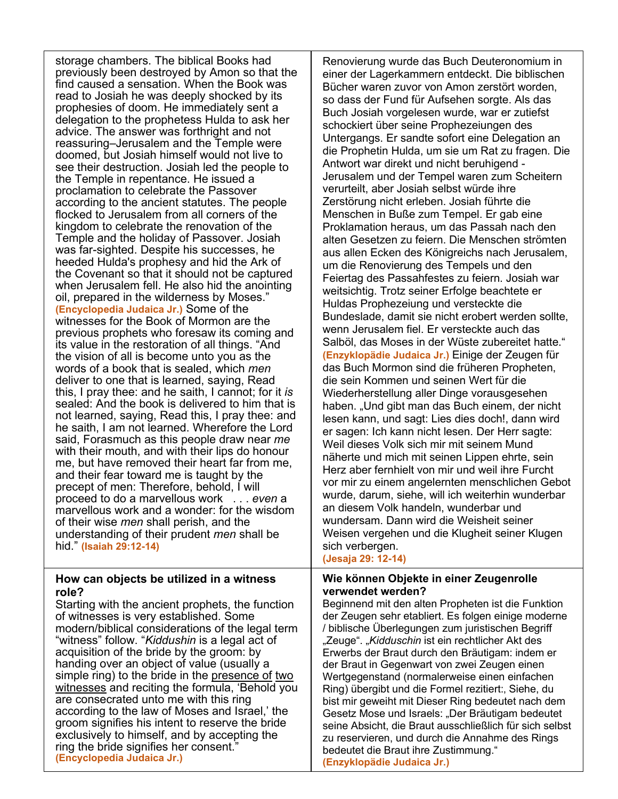storage chambers. The biblical Books had previously been destroyed by Amon so that the find caused a sensation. When the Book was read to Josiah he was deeply shocked by its prophesies of doom. He immediately sent a delegation to the prophetess Hulda to ask her advice. The answer was forthright and not reassuring–Jerusalem and the Temple were doomed, but Josiah himself would not live to see their destruction. Josiah led the people to the Temple in repentance. He issued a proclamation to celebrate the Passover according to the ancient statutes. The people flocked to Jerusalem from all corners of the kingdom to celebrate the renovation of the Temple and the holiday of Passover. Josiah was far-sighted. Despite his successes, he heeded Hulda's prophesy and hid the Ark of the Covenant so that it should not be captured when Jerusalem fell. He also hid the anointing oil, prepared in the wilderness by Moses." **(Encyclopedia Judaica Jr.)** Some of the witnesses for the Book of Mormon are the previous prophets who foresaw its coming and its value in the restoration of all things. "And the vision of all is become unto you as the words of a book that is sealed, which *men*  deliver to one that is learned, saying, Read this, I pray thee: and he saith, I cannot; for it *is*  sealed: And the book is delivered to him that is not learned, saying, Read this, I pray thee: and he saith, I am not learned. Wherefore the Lord said, Forasmuch as this people draw near *me*  with their mouth, and with their lips do honour me, but have removed their heart far from me, and their fear toward me is taught by the precept of men: Therefore, behold, I will proceed to do a marvellous work . . . *even* a marvellous work and a wonder: for the wisdom of their wise *men* shall perish, and the understanding of their prudent *men* shall be hid." **(Isaiah 29:12-14)**

# **How can objects be utilized in a witness role?**

Starting with the ancient prophets, the function of witnesses is very established. Some modern/biblical considerations of the legal term "witness" follow. "*Kiddushin* is a legal act of acquisition of the bride by the groom: by handing over an object of value (usually a simple ring) to the bride in the presence of two witnesses and reciting the formula, 'Behold you are consecrated unto me with this ring according to the law of Moses and Israel,' the groom signifies his intent to reserve the bride exclusively to himself, and by accepting the ring the bride signifies her consent." **(Encyclopedia Judaica Jr.)**

Renovierung wurde das Buch Deuteronomium in einer der Lagerkammern entdeckt. Die biblischen Bücher waren zuvor von Amon zerstört worden, so dass der Fund für Aufsehen sorgte. Als das Buch Josiah vorgelesen wurde, war er zutiefst schockiert über seine Prophezeiungen des Untergangs. Er sandte sofort eine Delegation an die Prophetin Hulda, um sie um Rat zu fragen. Die Antwort war direkt und nicht beruhigend - Jerusalem und der Tempel waren zum Scheitern verurteilt, aber Josiah selbst würde ihre Zerstörung nicht erleben. Josiah führte die Menschen in Buße zum Tempel. Er gab eine Proklamation heraus, um das Passah nach den alten Gesetzen zu feiern. Die Menschen strömten aus allen Ecken des Königreichs nach Jerusalem, um die Renovierung des Tempels und den Feiertag des Passahfestes zu feiern. Josiah war weitsichtig. Trotz seiner Erfolge beachtete er Huldas Prophezeiung und versteckte die Bundeslade, damit sie nicht erobert werden sollte, wenn Jerusalem fiel. Er versteckte auch das Salböl, das Moses in der Wüste zubereitet hatte." **(Enzyklopädie Judaica Jr.)** Einige der Zeugen für das Buch Mormon sind die früheren Propheten, die sein Kommen und seinen Wert für die Wiederherstellung aller Dinge vorausgesehen haben. "Und gibt man das Buch einem, der nicht lesen kann, und sagt: Lies dies doch!, dann wird er sagen: Ich kann nicht lesen. Der Herr sagte: Weil dieses Volk sich mir mit seinem Mund näherte und mich mit seinen Lippen ehrte, sein Herz aber fernhielt von mir und weil ihre Furcht vor mir zu einem angelernten menschlichen Gebot wurde, darum, siehe, will ich weiterhin wunderbar an diesem Volk handeln, wunderbar und wundersam. Dann wird die Weisheit seiner Weisen vergehen und die Klugheit seiner Klugen sich verbergen.

**(Jesaja 29: 12-14)**

# **Wie können Objekte in einer Zeugenrolle verwendet werden?**

Beginnend mit den alten Propheten ist die Funktion der Zeugen sehr etabliert. Es folgen einige moderne / biblische Überlegungen zum juristischen Begriff "Zeuge". "*Kidduschin* ist ein rechtlicher Akt des Erwerbs der Braut durch den Bräutigam: indem er der Braut in Gegenwart von zwei Zeugen einen Wertgegenstand (normalerweise einen einfachen Ring) übergibt und die Formel rezitiert:, Siehe, du bist mir geweiht mit Dieser Ring bedeutet nach dem Gesetz Mose und Israels: "Der Bräutigam bedeutet seine Absicht, die Braut ausschließlich für sich selbst zu reservieren, und durch die Annahme des Rings bedeutet die Braut ihre Zustimmung."

**(Enzyklopädie Judaica Jr.)**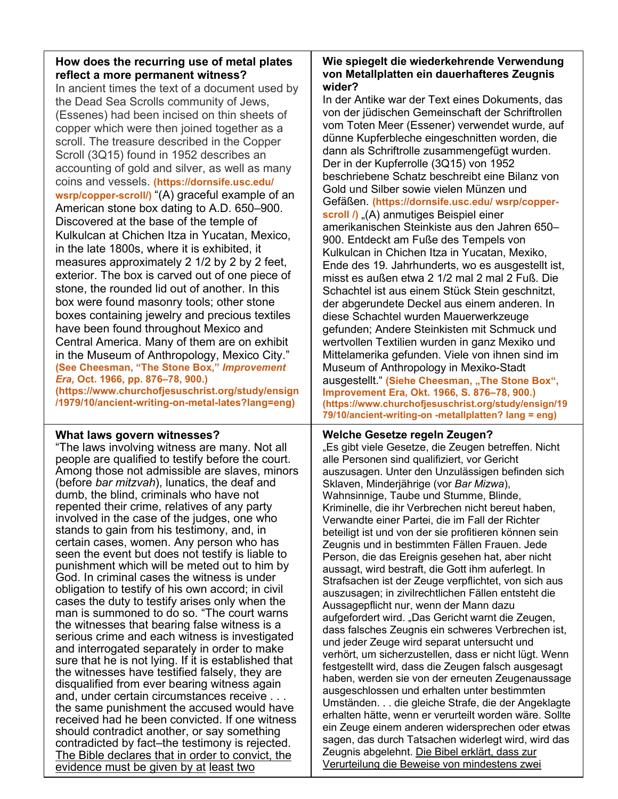| How does the recurring use of metal plates |  |
|--------------------------------------------|--|
| reflect a more permanent witness?          |  |

In ancient times the text of a document used by the Dead Sea Scrolls community of Jews, (Essenes) had been incised on thin sheets of copper which were then joined together as a scroll. The treasure described in the Copper Scroll (3Q15) found in 1952 describes an accounting of gold and silver, as well as many coins and vessels. **(https://dornsife.usc.edu/ wsrp/copper-scroll/)** "(A) graceful example of an American stone box dating to A.D. 650–900. Discovered at the base of the temple of Kulkulcan at Chichen Itza in Yucatan, Mexico, in the late 1800s, where it is exhibited, it measures approximately 2 1/2 by 2 by 2 feet, exterior. The box is carved out of one piece of stone, the rounded lid out of another. In this box were found masonry tools; other stone boxes containing jewelry and precious textiles have been found throughout Mexico and Central America. Many of them are on exhibit in the Museum of Anthropology, Mexico City." **(See Cheesman, "The Stone Box,"** *Improvement Era,* **Oct. 1966, pp. 876–78, 900.) (https://www.churchofjesuschrist.org/study/ensign /1979/10/ancient-writing-on-metal-lates?lang=eng)**

### **What laws govern witnesses?**

"The laws involving witness are many. Not all people are qualified to testify before the court. Among those not admissible are slaves, minors (before *bar mitzvah*), lunatics, the deaf and dumb, the blind, criminals who have not repented their crime, relatives of any party involved in the case of the judges, one who stands to gain from his testimony, and, in certain cases, women. Any person who has seen the event but does not testify is liable to punishment which will be meted out to him by God. In criminal cases the witness is under obligation to testify of his own accord; in civil cases the duty to testify arises only when the man is summoned to do so. "The court warns the witnesses that bearing false witness is a serious crime and each witness is investigated and interrogated separately in order to make sure that he is not lying. If it is established that the witnesses have testified falsely, they are disqualified from ever bearing witness again and, under certain circumstances receive . . . the same punishment the accused would have received had he been convicted. If one witness should contradict another, or say something contradicted by fact–the testimony is rejected. The Bible declares that in order to convict, the evidence must be given by at least two

#### **Wie spiegelt die wiederkehrende Verwendung von Metallplatten ein dauerhafteres Zeugnis wider?**

In der Antike war der Text eines Dokuments, das von der jüdischen Gemeinschaft der Schriftrollen vom Toten Meer (Essener) verwendet wurde, auf dünne Kupferbleche eingeschnitten worden, die dann als Schriftrolle zusammengefügt wurden. Der in der Kupferrolle (3Q15) von 1952 beschriebene Schatz beschreibt eine Bilanz von Gold und Silber sowie vielen Münzen und Gefäßen. **(https://dornsife.usc.edu/ wsrp/copperscroll /)** "(A) anmutiges Beispiel einer amerikanischen Steinkiste aus den Jahren 650– 900. Entdeckt am Fuße des Tempels von Kulkulcan in Chichen Itza in Yucatan, Mexiko, Ende des 19. Jahrhunderts, wo es ausgestellt ist, misst es außen etwa 2 1/2 mal 2 mal 2 Fuß. Die Schachtel ist aus einem Stück Stein geschnitzt, der abgerundete Deckel aus einem anderen. In diese Schachtel wurden Mauerwerkzeuge gefunden; Andere Steinkisten mit Schmuck und wertvollen Textilien wurden in ganz Mexiko und Mittelamerika gefunden. Viele von ihnen sind im Museum of Anthropology in Mexiko-Stadt ausgestellt." (Siehe Cheesman, "The Stone Box", **Improvement Era, Okt. 1966, S. 876–78, 900.) (https://www.churchofjesuschrist.org/study/ensign/19 79/10/ancient-writing-on -metallplatten? lang = eng)**

### **Welche Gesetze regeln Zeugen?**

"Es gibt viele Gesetze, die Zeugen betreffen. Nicht alle Personen sind qualifiziert, vor Gericht auszusagen. Unter den Unzulässigen befinden sich Sklaven, Minderjährige (vor *Bar Mizwa*), Wahnsinnige, Taube und Stumme, Blinde, Kriminelle, die ihr Verbrechen nicht bereut haben, Verwandte einer Partei, die im Fall der Richter beteiligt ist und von der sie profitieren können sein Zeugnis und in bestimmten Fällen Frauen. Jede Person, die das Ereignis gesehen hat, aber nicht aussagt, wird bestraft, die Gott ihm auferlegt. In Strafsachen ist der Zeuge verpflichtet, von sich aus auszusagen; in zivilrechtlichen Fällen entsteht die Aussagepflicht nur, wenn der Mann dazu aufgefordert wird. "Das Gericht warnt die Zeugen, dass falsches Zeugnis ein schweres Verbrechen ist, und jeder Zeuge wird separat untersucht und verhört, um sicherzustellen, dass er nicht lügt. Wenn festgestellt wird, dass die Zeugen falsch ausgesagt haben, werden sie von der erneuten Zeugenaussage ausgeschlossen und erhalten unter bestimmten Umständen. . . die gleiche Strafe, die der Angeklagte erhalten hätte, wenn er verurteilt worden wäre. Sollte ein Zeuge einem anderen widersprechen oder etwas sagen, das durch Tatsachen widerlegt wird, wird das Zeugnis abgelehnt. Die Bibel erklärt, dass zur Verurteilung die Beweise von mindestens zwei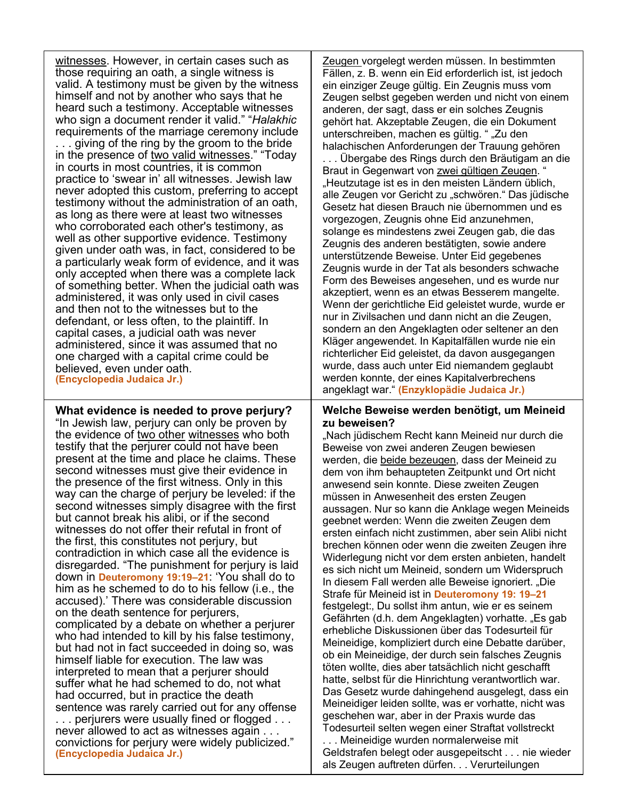witnesses. However, in certain cases such as those requiring an oath, a single witness is valid. A testimony must be given by the witness himself and not by another who says that he heard such a testimony. Acceptable witnesses who sign a document render it valid." "*Halakhic* requirements of the marriage ceremony include giving of the ring by the groom to the bride in the presence of two valid witnesses." "Today in courts in most countries, it is common practice to 'swear in' all witnesses. Jewish law never adopted this custom, preferring to accept testimony without the administration of an oath, as long as there were at least two witnesses who corroborated each other's testimony, as well as other supportive evidence. Testimony given under oath was, in fact, considered to be a particularly weak form of evidence, and it was only accepted when there was a complete lack of something better. When the judicial oath was administered, it was only used in civil cases and then not to the witnesses but to the defendant, or less often, to the plaintiff. In capital cases, a judicial oath was never administered, since it was assumed that no one charged with a capital crime could be believed, even under oath. **(Encyclopedia Judaica Jr.)**

**What evidence is needed to prove perjury?** "In Jewish law, perjury can only be proven by the evidence of two other witnesses who both testify that the perjurer could not have been present at the time and place he claims. These second witnesses must give their evidence in the presence of the first witness. Only in this way can the charge of perjury be leveled: if the second witnesses simply disagree with the first but cannot break his alibi, or if the second witnesses do not offer their refutal in front of the first, this constitutes not perjury, but contradiction in which case all the evidence is disregarded. "The punishment for perjury is laid down in **Deuteromony 19:19–21**: 'You shall do to him as he schemed to do to his fellow (i.e., the accused).' There was considerable discussion on the death sentence for perjurers, complicated by a debate on whether a perjurer who had intended to kill by his false testimony, but had not in fact succeeded in doing so, was himself liable for execution. The law was interpreted to mean that a perjurer should suffer what he had schemed to do, not what had occurred, but in practice the death sentence was rarely carried out for any offense . . . perjurers were usually fined or flogged . . . never allowed to act as witnesses again . . . convictions for perjury were widely publicized." **(Encyclopedia Judaica Jr.)**

Zeugen vorgelegt werden müssen. In bestimmten Fällen, z. B. wenn ein Eid erforderlich ist, ist jedoch ein einziger Zeuge gültig. Ein Zeugnis muss vom Zeugen selbst gegeben werden und nicht von einem anderen, der sagt, dass er ein solches Zeugnis gehört hat. Akzeptable Zeugen, die ein Dokument unterschreiben, machen es gültig. " "Zu den halachischen Anforderungen der Trauung gehören

. . . Übergabe des Rings durch den Bräutigam an die Braut in Gegenwart von zwei gültigen Zeugen. " "Heutzutage ist es in den meisten Ländern üblich, alle Zeugen vor Gericht zu "schwören." Das jüdische Gesetz hat diesen Brauch nie übernommen und es vorgezogen, Zeugnis ohne Eid anzunehmen, solange es mindestens zwei Zeugen gab, die das Zeugnis des anderen bestätigten, sowie andere unterstützende Beweise. Unter Eid gegebenes Zeugnis wurde in der Tat als besonders schwache Form des Beweises angesehen, und es wurde nur akzeptiert, wenn es an etwas Besserem mangelte. Wenn der gerichtliche Eid geleistet wurde, wurde er nur in Zivilsachen und dann nicht an die Zeugen, sondern an den Angeklagten oder seltener an den Kläger angewendet. In Kapitalfällen wurde nie ein richterlicher Eid geleistet, da davon ausgegangen wurde, dass auch unter Eid niemandem geglaubt werden konnte, der eines Kapitalverbrechens angeklagt war." **(Enzyklopädie Judaica Jr.)**

### **Welche Beweise werden benötigt, um Meineid zu beweisen?**

"Nach jüdischem Recht kann Meineid nur durch die Beweise von zwei anderen Zeugen bewiesen werden, die beide bezeugen, dass der Meineid zu dem von ihm behaupteten Zeitpunkt und Ort nicht anwesend sein konnte. Diese zweiten Zeugen müssen in Anwesenheit des ersten Zeugen aussagen. Nur so kann die Anklage wegen Meineids geebnet werden: Wenn die zweiten Zeugen dem ersten einfach nicht zustimmen, aber sein Alibi nicht brechen können oder wenn die zweiten Zeugen ihre Widerlegung nicht vor dem ersten anbieten, handelt es sich nicht um Meineid, sondern um Widerspruch In diesem Fall werden alle Beweise ignoriert. "Die Strafe für Meineid ist in **Deuteromony 19: 19–21** festgelegt:, Du sollst ihm antun, wie er es seinem Gefährten (d.h. dem Angeklagten) vorhatte. "Es gab erhebliche Diskussionen über das Todesurteil für Meineidige, kompliziert durch eine Debatte darüber, ob ein Meineidige, der durch sein falsches Zeugnis töten wollte, dies aber tatsächlich nicht geschafft hatte, selbst für die Hinrichtung verantwortlich war. Das Gesetz wurde dahingehend ausgelegt, dass ein Meineidiger leiden sollte, was er vorhatte, nicht was geschehen war, aber in der Praxis wurde das Todesurteil selten wegen einer Straftat vollstreckt

. . . Meineidige wurden normalerweise mit Geldstrafen belegt oder ausgepeitscht . . . nie wieder als Zeugen auftreten dürfen. . . Verurteilungen